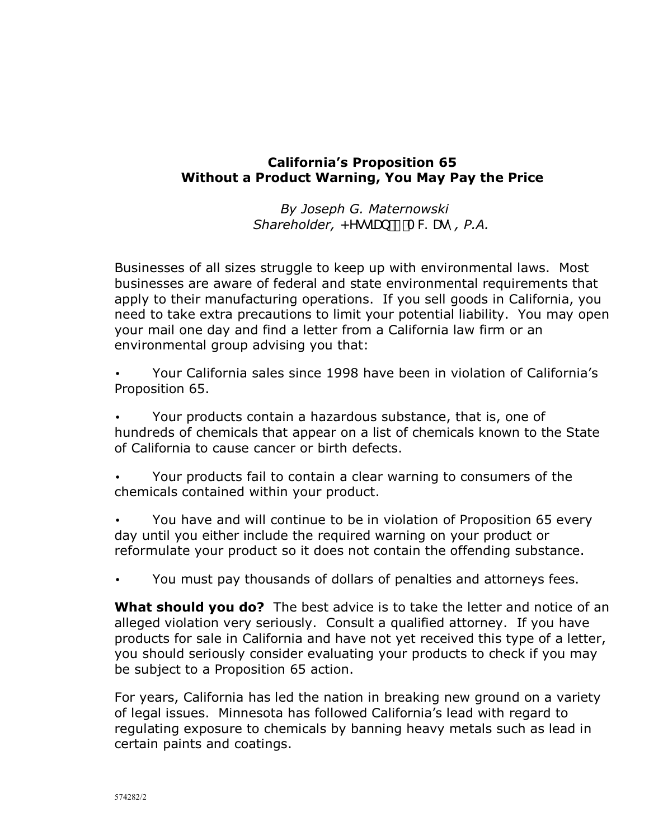## **Californiaís Proposition 65 Without a Product Warning, You May Pay the Price**

*By Joseph G. Maternowski Shareholder, <YgglUb / A W Ugm, P.A.* 

Businesses of all sizes struggle to keep up with environmental laws. Most businesses are aware of federal and state environmental requirements that apply to their manufacturing operations. If you sell goods in California, you need to take extra precautions to limit your potential liability. You may open your mail one day and find a letter from a California law firm or an environmental group advising you that:

• Your California sales since 1998 have been in violation of Californiaís Proposition 65.

• Your products contain a hazardous substance, that is, one of hundreds of chemicals that appear on a list of chemicals known to the State of California to cause cancer or birth defects.

• Your products fail to contain a clear warning to consumers of the chemicals contained within your product.

• You have and will continue to be in violation of Proposition 65 every day until you either include the required warning on your product or reformulate your product so it does not contain the offending substance.

• You must pay thousands of dollars of penalties and attorneys fees.

**What should you do?** The best advice is to take the letter and notice of an alleged violation very seriously. Consult a qualified attorney. If you have products for sale in California and have not yet received this type of a letter, you should seriously consider evaluating your products to check if you may be subject to a Proposition 65 action.

For years, California has led the nation in breaking new ground on a variety of legal issues. Minnesota has followed Californiaís lead with regard to regulating exposure to chemicals by banning heavy metals such as lead in certain paints and coatings.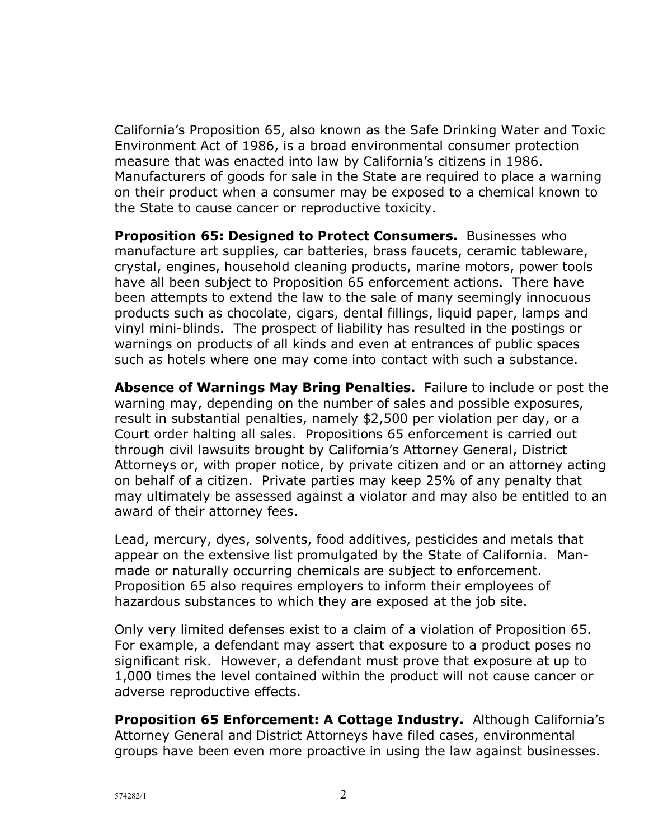Californiaís Proposition 65, also known as the Safe Drinking Water and Toxic Environment Act of 1986, is a broad environmental consumer protection measure that was enacted into law by California's citizens in 1986. Manufacturers of goods for sale in the State are required to place a warning on their product when a consumer may be exposed to a chemical known to the State to cause cancer or reproductive toxicity.

**Proposition 65: Designed to Protect Consumers.** Businesses who manufacture art supplies, car batteries, brass faucets, ceramic tableware, crystal, engines, household cleaning products, marine motors, power tools have all been subject to Proposition 65 enforcement actions. There have been attempts to extend the law to the sale of many seemingly innocuous products such as chocolate, cigars, dental fillings, liquid paper, lamps and vinyl mini-blinds. The prospect of liability has resulted in the postings or warnings on products of all kinds and even at entrances of public spaces such as hotels where one may come into contact with such a substance.

**Absence of Warnings May Bring Penalties.** Failure to include or post the warning may, depending on the number of sales and possible exposures, result in substantial penalties, namely \$2,500 per violation per day, or a Court order halting all sales. Propositions 65 enforcement is carried out through civil lawsuits brought by California's Attorney General, District Attorneys or, with proper notice, by private citizen and or an attorney acting on behalf of a citizen. Private parties may keep 25% of any penalty that may ultimately be assessed against a violator and may also be entitled to an award of their attorney fees.

Lead, mercury, dyes, solvents, food additives, pesticides and metals that appear on the extensive list promulgated by the State of California. Manmade or naturally occurring chemicals are subject to enforcement. Proposition 65 also requires employers to inform their employees of hazardous substances to which they are exposed at the job site.

Only very limited defenses exist to a claim of a violation of Proposition 65. For example, a defendant may assert that exposure to a product poses no significant risk. However, a defendant must prove that exposure at up to 1,000 times the level contained within the product will not cause cancer or adverse reproductive effects.

**Proposition 65 Enforcement: A Cottage Industry.** Although Californiaís Attorney General and District Attorneys have filed cases, environmental groups have been even more proactive in using the law against businesses.